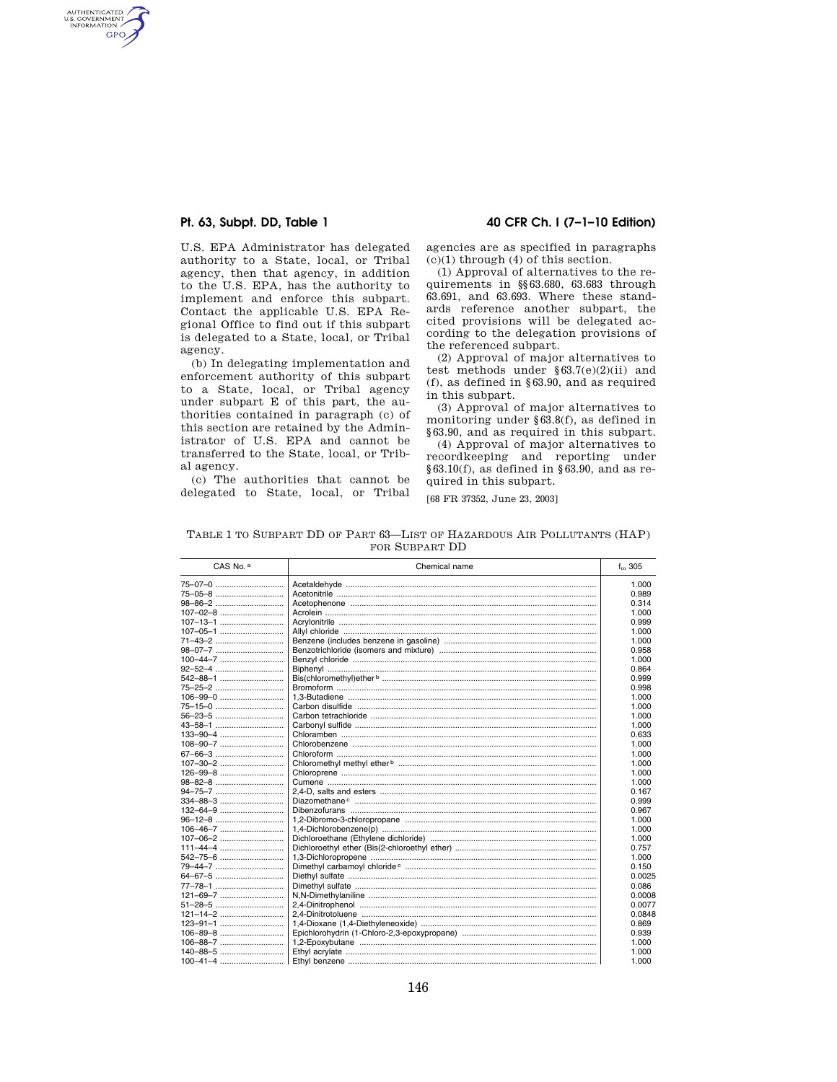AUTHENTICATED<br>U.S. GOVERNMENT<br>INFORMATION GPO

> U.S. EPA Administrator has delegated authority to a State, local, or Tribal agency, then that agency, in addition to the U.S. EPA, has the authority to implement and enforce this subpart. Contact the applicable U.S. EPA Regional Office to find out if this subpart is delegated to a State, local, or Tribal agency.

> (b) In delegating implementation and enforcement authority of this subpart to a State, local, or Tribal agency under subpart E of this part, the authorities contained in paragraph (c) of this section are retained by the Administrator of U.S. EPA and cannot be transferred to the State, local, or Tribal agency.

(c) The authorities that cannot be delegated to State, local, or Tribal

#### **Pt. 63, Subpt. DD, Table 1 40 CFR Ch. I (7–1–10 Edition)**

agencies are as specified in paragraphs  $(c)(1)$  through  $(4)$  of this section.

(1) Approval of alternatives to the requirements in §§63.680, 63.683 through 63.691, and 63.693. Where these standards reference another subpart, the cited provisions will be delegated according to the delegation provisions of the referenced subpart.

(2) Approval of major alternatives to test methods under §63.7(e)(2)(ii) and (f), as defined in §63.90, and as required in this subpart.

(3) Approval of major alternatives to monitoring under §63.8(f), as defined in §63.90, and as required in this subpart.

(4) Approval of major alternatives to recordkeeping and reporting under  $§63.10(f)$ , as defined in §63.90, and as required in this subpart.

[68 FR 37352, June 23, 2003]

TABLE 1 TO SUBPART DD OF PART 63—LIST OF HAZARDOUS AIR POLLUTANTS (HAP) FOR SUBPART DD

| CAS No. <sup>a</sup> | Chemical name | $f_{\rm m}$ 305 |
|----------------------|---------------|-----------------|
| 75-07-0              |               | 1.000           |
| 75-05-8              |               | 0.989           |
|                      |               | 0.314           |
|                      |               | 1.000           |
| $107 - 13 - 1$       |               | 0.999           |
| $107 - 05 - 1$       |               | 1.000           |
| 71-43-2              |               | 1.000           |
| 98-07-7              |               | 0.958           |
|                      |               | 1.000           |
|                      |               | 0.864           |
| 542-88-1             |               | 0.999           |
| 75-25-2              |               | 0.998           |
|                      |               | 1.000           |
| 75-15-0              |               | 1.000           |
|                      |               | 1.000           |
|                      |               | 1.000           |
|                      |               | 0.633           |
|                      |               | 1.000           |
| 67-66-3              |               | 1.000           |
| 107-30-2             |               | 1.000           |
|                      |               | 1.000           |
|                      |               | 1.000           |
|                      |               | 0.167           |
|                      |               | 0.999           |
|                      |               | 0.967           |
|                      |               | 1.000           |
| 106-46-7             |               | 1.000           |
|                      |               | 1.000           |
|                      |               | 0.757           |
| 542-75-6             |               | 1.000           |
| 79-44-7              |               | 0.150           |
| 64-67-5              |               | 0.0025          |
| 77-78-1              |               | 0.086           |
|                      |               | 0.0008          |
| 51-28-5              |               | 0.0077          |
|                      |               | 0.0848          |
|                      |               | 0.869           |
|                      |               | 0.939           |
|                      |               | 1.000           |
|                      |               | 1.000           |
|                      |               | 1.000           |